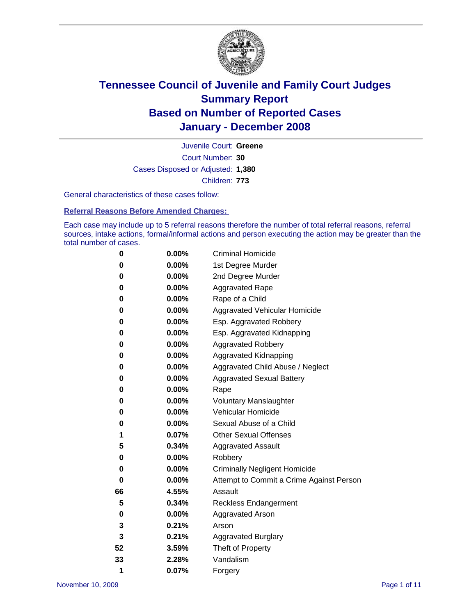

Court Number: **30** Juvenile Court: **Greene** Cases Disposed or Adjusted: **1,380** Children: **773**

General characteristics of these cases follow:

**Referral Reasons Before Amended Charges:** 

Each case may include up to 5 referral reasons therefore the number of total referral reasons, referral sources, intake actions, formal/informal actions and person executing the action may be greater than the total number of cases.

| 0  | $0.00\%$ | <b>Criminal Homicide</b>                 |
|----|----------|------------------------------------------|
| 0  | 0.00%    | 1st Degree Murder                        |
| 0  | $0.00\%$ | 2nd Degree Murder                        |
| 0  | 0.00%    | <b>Aggravated Rape</b>                   |
| 0  | 0.00%    | Rape of a Child                          |
| 0  | $0.00\%$ | Aggravated Vehicular Homicide            |
| 0  | 0.00%    | Esp. Aggravated Robbery                  |
| 0  | $0.00\%$ | Esp. Aggravated Kidnapping               |
| 0  | 0.00%    | <b>Aggravated Robbery</b>                |
| 0  | 0.00%    | Aggravated Kidnapping                    |
| 0  | $0.00\%$ | Aggravated Child Abuse / Neglect         |
| 0  | 0.00%    | <b>Aggravated Sexual Battery</b>         |
| 0  | 0.00%    | Rape                                     |
| 0  | 0.00%    | <b>Voluntary Manslaughter</b>            |
| 0  | 0.00%    | Vehicular Homicide                       |
| 0  | $0.00\%$ | Sexual Abuse of a Child                  |
| 1  | 0.07%    | <b>Other Sexual Offenses</b>             |
| 5  | 0.34%    | <b>Aggravated Assault</b>                |
| 0  | 0.00%    | Robbery                                  |
| 0  | 0.00%    | <b>Criminally Negligent Homicide</b>     |
| 0  | 0.00%    | Attempt to Commit a Crime Against Person |
| 66 | 4.55%    | Assault                                  |
| 5  | 0.34%    | <b>Reckless Endangerment</b>             |
| 0  | 0.00%    | <b>Aggravated Arson</b>                  |
| 3  | 0.21%    | Arson                                    |
| 3  | 0.21%    | <b>Aggravated Burglary</b>               |
| 52 | 3.59%    | Theft of Property                        |
| 33 | 2.28%    | Vandalism                                |
| 1  | 0.07%    | Forgery                                  |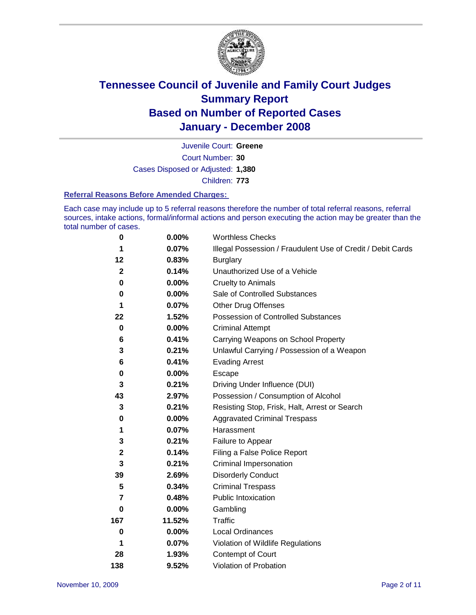

Court Number: **30** Juvenile Court: **Greene** Cases Disposed or Adjusted: **1,380** Children: **773**

#### **Referral Reasons Before Amended Charges:**

Each case may include up to 5 referral reasons therefore the number of total referral reasons, referral sources, intake actions, formal/informal actions and person executing the action may be greater than the total number of cases.

| 0            | 0.00%    | <b>Worthless Checks</b>                                     |
|--------------|----------|-------------------------------------------------------------|
| 1            | 0.07%    | Illegal Possession / Fraudulent Use of Credit / Debit Cards |
| 12           | 0.83%    | <b>Burglary</b>                                             |
| $\mathbf{2}$ | 0.14%    | Unauthorized Use of a Vehicle                               |
| 0            | 0.00%    | <b>Cruelty to Animals</b>                                   |
| 0            | $0.00\%$ | Sale of Controlled Substances                               |
| 1            | 0.07%    | <b>Other Drug Offenses</b>                                  |
| 22           | 1.52%    | Possession of Controlled Substances                         |
| 0            | 0.00%    | <b>Criminal Attempt</b>                                     |
| 6            | 0.41%    | Carrying Weapons on School Property                         |
| 3            | 0.21%    | Unlawful Carrying / Possession of a Weapon                  |
| 6            | 0.41%    | <b>Evading Arrest</b>                                       |
| 0            | 0.00%    | Escape                                                      |
| 3            | 0.21%    | Driving Under Influence (DUI)                               |
| 43           | 2.97%    | Possession / Consumption of Alcohol                         |
| 3            | 0.21%    | Resisting Stop, Frisk, Halt, Arrest or Search               |
| 0            | $0.00\%$ | <b>Aggravated Criminal Trespass</b>                         |
| 1            | 0.07%    | Harassment                                                  |
| 3            | 0.21%    | Failure to Appear                                           |
| $\mathbf 2$  | 0.14%    | Filing a False Police Report                                |
| 3            | 0.21%    | Criminal Impersonation                                      |
| 39           | 2.69%    | <b>Disorderly Conduct</b>                                   |
| 5            | 0.34%    | <b>Criminal Trespass</b>                                    |
| 7            | 0.48%    | <b>Public Intoxication</b>                                  |
| 0            | 0.00%    | Gambling                                                    |
| 167          | 11.52%   | Traffic                                                     |
| 0            | $0.00\%$ | <b>Local Ordinances</b>                                     |
| 1            | 0.07%    | Violation of Wildlife Regulations                           |
| 28           | 1.93%    | Contempt of Court                                           |
| 138          | 9.52%    | Violation of Probation                                      |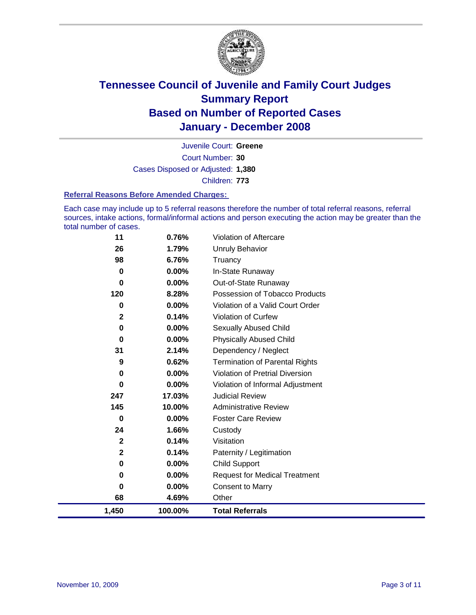

Court Number: **30** Juvenile Court: **Greene** Cases Disposed or Adjusted: **1,380** Children: **773**

#### **Referral Reasons Before Amended Charges:**

Each case may include up to 5 referral reasons therefore the number of total referral reasons, referral sources, intake actions, formal/informal actions and person executing the action may be greater than the total number of cases.

| 11           | 0.76%    | Violation of Aftercare                 |
|--------------|----------|----------------------------------------|
| 26           | 1.79%    | <b>Unruly Behavior</b>                 |
| 98           | 6.76%    | Truancy                                |
| 0            | $0.00\%$ | In-State Runaway                       |
| 0            | 0.00%    | Out-of-State Runaway                   |
| 120          | 8.28%    | Possession of Tobacco Products         |
| 0            | $0.00\%$ | Violation of a Valid Court Order       |
| 2            | 0.14%    | Violation of Curfew                    |
| 0            | 0.00%    | <b>Sexually Abused Child</b>           |
| 0            | 0.00%    | <b>Physically Abused Child</b>         |
| 31           | 2.14%    | Dependency / Neglect                   |
| 9            | 0.62%    | <b>Termination of Parental Rights</b>  |
| 0            | $0.00\%$ | <b>Violation of Pretrial Diversion</b> |
| 0            | $0.00\%$ | Violation of Informal Adjustment       |
| 247          | 17.03%   | <b>Judicial Review</b>                 |
| 145          | 10.00%   | <b>Administrative Review</b>           |
| 0            | $0.00\%$ | <b>Foster Care Review</b>              |
| 24           | 1.66%    | Custody                                |
| $\mathbf{2}$ | 0.14%    | Visitation                             |
| $\mathbf 2$  | 0.14%    | Paternity / Legitimation               |
| 0            | $0.00\%$ | <b>Child Support</b>                   |
| 0            | $0.00\%$ | <b>Request for Medical Treatment</b>   |
| 0            | $0.00\%$ | <b>Consent to Marry</b>                |
| 68           | 4.69%    | Other                                  |
| 1,450        | 100.00%  | <b>Total Referrals</b>                 |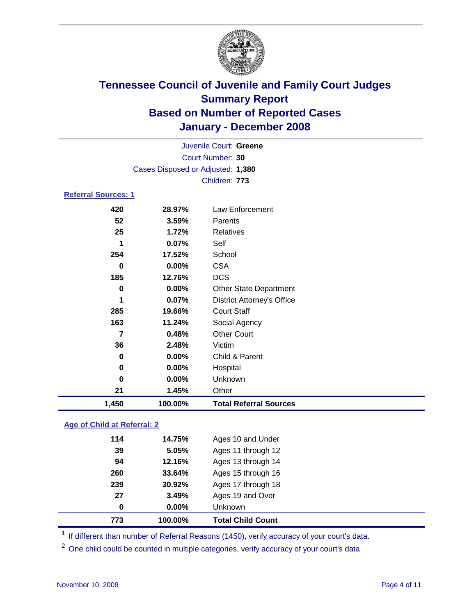

|                            |                                   | Juvenile Court: Greene            |  |
|----------------------------|-----------------------------------|-----------------------------------|--|
|                            |                                   | Court Number: 30                  |  |
|                            | Cases Disposed or Adjusted: 1,380 |                                   |  |
|                            |                                   | Children: 773                     |  |
| <b>Referral Sources: 1</b> |                                   |                                   |  |
| 420                        | 28.97%                            | Law Enforcement                   |  |
| 52                         | 3.59%                             | Parents                           |  |
| 25                         | 1.72%                             | Relatives                         |  |
| 1                          | $0.07\%$                          | Self                              |  |
| 254                        | 17.52%                            | School                            |  |
| 0                          | $0.00\%$                          | CSA                               |  |
| 185                        | 12.76%                            | <b>DCS</b>                        |  |
| 0                          | $0.00\%$                          | <b>Other State Department</b>     |  |
| 1                          | 0.07%                             | <b>District Attorney's Office</b> |  |
| 285                        | 19.66%                            | <b>Court Staff</b>                |  |
| 163                        | 11.24%                            | Social Agency                     |  |
| 7                          | 0.48%                             | <b>Other Court</b>                |  |
| 96                         | າ 100/                            | $\overline{\phantom{a}}$          |  |

| 1,450 | 100.00%  | <b>Total Referral Sources</b> |  |
|-------|----------|-------------------------------|--|
| 21    | 1.45%    | Other                         |  |
| 0     | $0.00\%$ | <b>Unknown</b>                |  |
| 0     | $0.00\%$ | Hospital                      |  |
| 0     | $0.00\%$ | Child & Parent                |  |
| 36    | 2.48%    | Victim                        |  |

#### **Age of Child at Referral: 2**

| 773 | 100.00% | <b>Total Child Count</b> |
|-----|---------|--------------------------|
| 0   | 0.00%   | <b>Unknown</b>           |
| 27  | 3.49%   | Ages 19 and Over         |
| 239 | 30.92%  | Ages 17 through 18       |
| 260 | 33.64%  | Ages 15 through 16       |
| 94  | 12.16%  | Ages 13 through 14       |
| 39  | 5.05%   | Ages 11 through 12       |
| 114 | 14.75%  | Ages 10 and Under        |
|     |         |                          |

<sup>1</sup> If different than number of Referral Reasons (1450), verify accuracy of your court's data.

<sup>2</sup> One child could be counted in multiple categories, verify accuracy of your court's data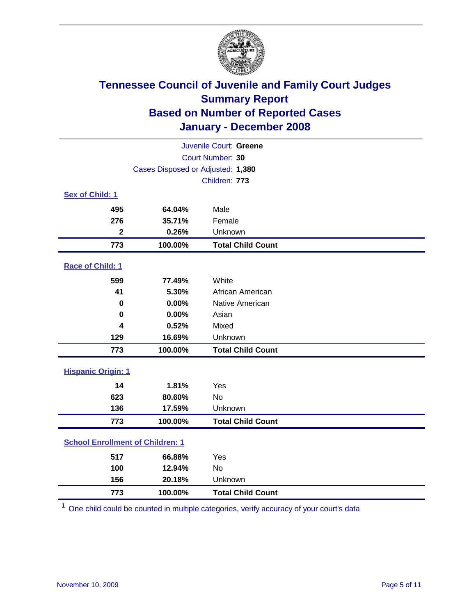

| Juvenile Court: Greene                  |                                   |                          |  |  |  |
|-----------------------------------------|-----------------------------------|--------------------------|--|--|--|
| Court Number: 30                        |                                   |                          |  |  |  |
|                                         | Cases Disposed or Adjusted: 1,380 |                          |  |  |  |
|                                         |                                   | Children: 773            |  |  |  |
| Sex of Child: 1                         |                                   |                          |  |  |  |
| 495                                     | 64.04%                            | Male                     |  |  |  |
| 276                                     | 35.71%                            | Female                   |  |  |  |
| $\mathbf{2}$                            | 0.26%                             | Unknown                  |  |  |  |
| 773                                     | 100.00%                           | <b>Total Child Count</b> |  |  |  |
| Race of Child: 1                        |                                   |                          |  |  |  |
| 599                                     | 77.49%                            | White                    |  |  |  |
| 41                                      | 5.30%                             | African American         |  |  |  |
| 0                                       | 0.00%                             | Native American          |  |  |  |
| 0                                       | 0.00%                             | Asian                    |  |  |  |
| 4                                       | 0.52%                             | Mixed                    |  |  |  |
| 129                                     | 16.69%                            | Unknown                  |  |  |  |
| 773                                     | 100.00%                           | <b>Total Child Count</b> |  |  |  |
| <b>Hispanic Origin: 1</b>               |                                   |                          |  |  |  |
| 14                                      | 1.81%                             | Yes                      |  |  |  |
| 623                                     | 80.60%                            | <b>No</b>                |  |  |  |
| 136                                     | 17.59%                            | Unknown                  |  |  |  |
| 773                                     | 100.00%                           | <b>Total Child Count</b> |  |  |  |
| <b>School Enrollment of Children: 1</b> |                                   |                          |  |  |  |
| 517                                     | 66.88%                            | Yes                      |  |  |  |
| 100                                     | 12.94%                            | No                       |  |  |  |
| 156                                     | 20.18%                            | Unknown                  |  |  |  |
| 773                                     | 100.00%                           | <b>Total Child Count</b> |  |  |  |

One child could be counted in multiple categories, verify accuracy of your court's data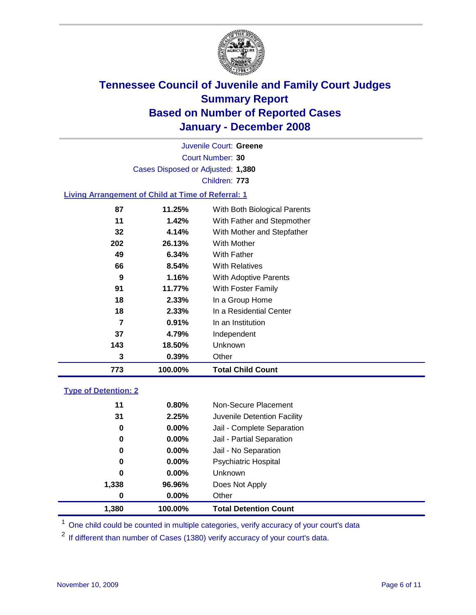

Court Number: **30** Juvenile Court: **Greene** Cases Disposed or Adjusted: **1,380** Children: **773**

#### **Living Arrangement of Child at Time of Referral: 1**

| 773 | 100.00% | <b>Total Child Count</b>     |
|-----|---------|------------------------------|
| 3   | 0.39%   | Other                        |
| 143 | 18.50%  | Unknown                      |
| 37  | 4.79%   | Independent                  |
| 7   | 0.91%   | In an Institution            |
| 18  | 2.33%   | In a Residential Center      |
| 18  | 2.33%   | In a Group Home              |
| 91  | 11.77%  | With Foster Family           |
| 9   | 1.16%   | With Adoptive Parents        |
| 66  | 8.54%   | <b>With Relatives</b>        |
| 49  | 6.34%   | With Father                  |
| 202 | 26.13%  | With Mother                  |
| 32  | 4.14%   | With Mother and Stepfather   |
| 11  | 1.42%   | With Father and Stepmother   |
| 87  | 11.25%  | With Both Biological Parents |
|     |         |                              |

#### **Type of Detention: 2**

| 1.380 | 100.00%  | <b>Total Detention Count</b> |  |
|-------|----------|------------------------------|--|
| 0     | $0.00\%$ | Other                        |  |
| 1,338 | 96.96%   | Does Not Apply               |  |
| 0     | $0.00\%$ | <b>Unknown</b>               |  |
| 0     | 0.00%    | <b>Psychiatric Hospital</b>  |  |
| 0     | 0.00%    | Jail - No Separation         |  |
| 0     | $0.00\%$ | Jail - Partial Separation    |  |
| 0     | $0.00\%$ | Jail - Complete Separation   |  |
| 31    | 2.25%    | Juvenile Detention Facility  |  |
| 11    | 0.80%    | Non-Secure Placement         |  |
|       |          |                              |  |

<sup>1</sup> One child could be counted in multiple categories, verify accuracy of your court's data

<sup>2</sup> If different than number of Cases (1380) verify accuracy of your court's data.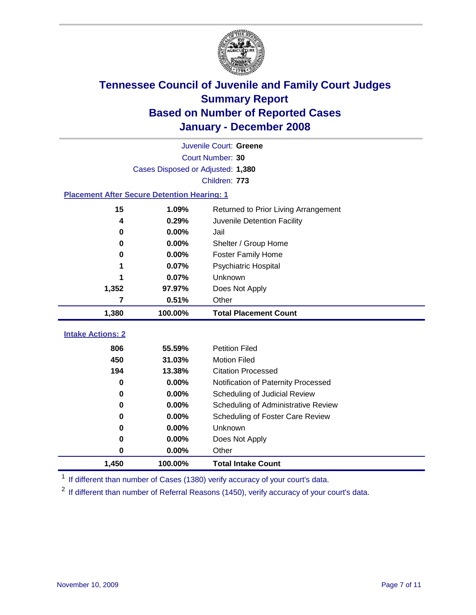

|                                                    | Juvenile Court: Greene            |                                      |  |  |  |
|----------------------------------------------------|-----------------------------------|--------------------------------------|--|--|--|
| Court Number: 30                                   |                                   |                                      |  |  |  |
|                                                    | Cases Disposed or Adjusted: 1,380 |                                      |  |  |  |
|                                                    |                                   | Children: 773                        |  |  |  |
| <b>Placement After Secure Detention Hearing: 1</b> |                                   |                                      |  |  |  |
| 15                                                 | 1.09%                             | Returned to Prior Living Arrangement |  |  |  |
| 4                                                  | 0.29%                             | Juvenile Detention Facility          |  |  |  |
| 0                                                  | 0.00%                             | Jail                                 |  |  |  |
| 0                                                  | 0.00%                             | Shelter / Group Home                 |  |  |  |
| 0                                                  | 0.00%                             | <b>Foster Family Home</b>            |  |  |  |
| 1                                                  | 0.07%                             | Psychiatric Hospital                 |  |  |  |
| 1                                                  | 0.07%                             | Unknown                              |  |  |  |
| 1,352                                              | 97.97%                            | Does Not Apply                       |  |  |  |
| 7                                                  | 0.51%                             | Other                                |  |  |  |
| 1,380                                              | 100.00%                           | <b>Total Placement Count</b>         |  |  |  |
|                                                    |                                   |                                      |  |  |  |
| <b>Intake Actions: 2</b>                           |                                   |                                      |  |  |  |
| 806                                                | 55.59%                            | <b>Petition Filed</b>                |  |  |  |
| 450                                                | 31.03%                            | <b>Motion Filed</b>                  |  |  |  |
| 194                                                | 13.38%                            | <b>Citation Processed</b>            |  |  |  |
| 0                                                  | 0.00%                             | Notification of Paternity Processed  |  |  |  |
| 0                                                  | 0.00%                             | Scheduling of Judicial Review        |  |  |  |
| 0                                                  | 0.00%                             | Scheduling of Administrative Review  |  |  |  |
| 0                                                  | 0.00%                             | Scheduling of Foster Care Review     |  |  |  |
| 0                                                  | 0.00%                             | Unknown                              |  |  |  |
| 0                                                  | 0.00%                             | Does Not Apply                       |  |  |  |
| 0                                                  | 0.00%                             | Other                                |  |  |  |
| 1,450                                              | 100.00%                           | <b>Total Intake Count</b>            |  |  |  |

<sup>1</sup> If different than number of Cases (1380) verify accuracy of your court's data.

<sup>2</sup> If different than number of Referral Reasons (1450), verify accuracy of your court's data.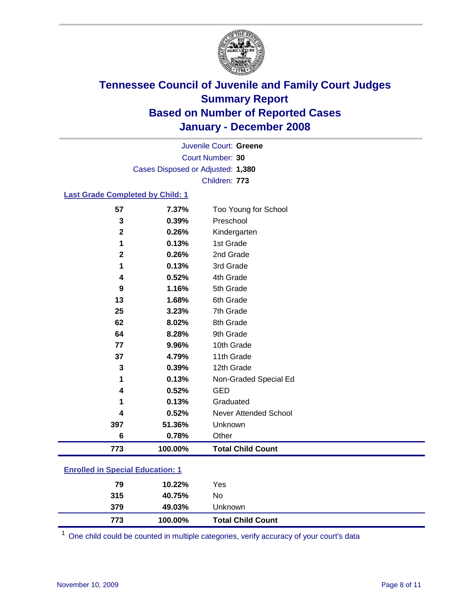

Court Number: **30** Juvenile Court: **Greene** Cases Disposed or Adjusted: **1,380** Children: **773**

#### **Last Grade Completed by Child: 1**

| 773          | 100.00% | <b>Total Child Count</b> |  |
|--------------|---------|--------------------------|--|
| 6            | 0.78%   | Other                    |  |
| 397          | 51.36%  | Unknown                  |  |
| 4            | 0.52%   | Never Attended School    |  |
|              | 0.13%   | Graduated                |  |
| 4            | 0.52%   | <b>GED</b>               |  |
| 1            | 0.13%   | Non-Graded Special Ed    |  |
| 3            | 0.39%   | 12th Grade               |  |
| 37           | 4.79%   | 11th Grade               |  |
| 77           | 9.96%   | 10th Grade               |  |
| 64           | 8.28%   | 9th Grade                |  |
| 62           | 8.02%   | 8th Grade                |  |
| 25           | 3.23%   | 7th Grade                |  |
| 13           | 1.68%   | 6th Grade                |  |
| 9            | 1.16%   | 5th Grade                |  |
| 4            | 0.52%   | 4th Grade                |  |
| 1            | 0.13%   | 3rd Grade                |  |
| $\mathbf{2}$ | 0.26%   | 2nd Grade                |  |
| 1            | 0.13%   | 1st Grade                |  |
| $\mathbf{2}$ | 0.26%   | Kindergarten             |  |
| 3            | 0.39%   | Preschool                |  |
| 57           | 7.37%   | Too Young for School     |  |

### **Enrolled in Special Education: 1**

| 773 | 100.00% | <b>Total Child Count</b> |  |
|-----|---------|--------------------------|--|
| 379 | 49.03%  | Unknown                  |  |
| 315 | 40.75%  | No                       |  |
| 79  | 10.22%  | Yes                      |  |
|     |         |                          |  |

<sup>1</sup> One child could be counted in multiple categories, verify accuracy of your court's data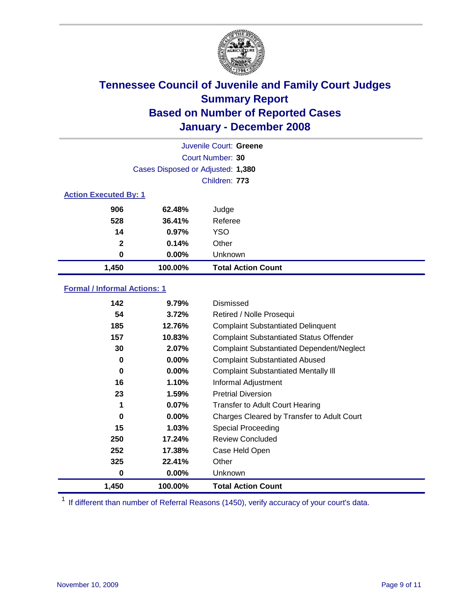

|                              |                                   | Juvenile Court: Greene    |
|------------------------------|-----------------------------------|---------------------------|
|                              |                                   | Court Number: 30          |
|                              | Cases Disposed or Adjusted: 1,380 |                           |
|                              |                                   | Children: 773             |
| <b>Action Executed By: 1</b> |                                   |                           |
| 906                          | 62.48%                            | Judge                     |
| 528                          | 36.41%                            | Referee                   |
| 14                           | 0.97%                             | <b>YSO</b>                |
| $\mathbf{2}$                 | 0.14%                             | Other                     |
| 0                            | $0.00\%$                          | Unknown                   |
| 1,450                        | 100.00%                           | <b>Total Action Count</b> |

#### **Formal / Informal Actions: 1**

| 142   | 9.79%    | Dismissed                                        |
|-------|----------|--------------------------------------------------|
| 54    | 3.72%    | Retired / Nolle Prosequi                         |
| 185   | 12.76%   | <b>Complaint Substantiated Delinquent</b>        |
| 157   | 10.83%   | <b>Complaint Substantiated Status Offender</b>   |
| 30    | 2.07%    | <b>Complaint Substantiated Dependent/Neglect</b> |
| 0     | 0.00%    | <b>Complaint Substantiated Abused</b>            |
| 0     | 0.00%    | <b>Complaint Substantiated Mentally III</b>      |
| 16    | 1.10%    | Informal Adjustment                              |
| 23    | $1.59\%$ | <b>Pretrial Diversion</b>                        |
| 1     | 0.07%    | <b>Transfer to Adult Court Hearing</b>           |
| 0     | 0.00%    | Charges Cleared by Transfer to Adult Court       |
| 15    | 1.03%    | Special Proceeding                               |
| 250   | 17.24%   | <b>Review Concluded</b>                          |
| 252   | 17.38%   | Case Held Open                                   |
| 325   | 22.41%   | Other                                            |
| 0     | 0.00%    | <b>Unknown</b>                                   |
| 1,450 | 100.00%  | <b>Total Action Count</b>                        |

<sup>1</sup> If different than number of Referral Reasons (1450), verify accuracy of your court's data.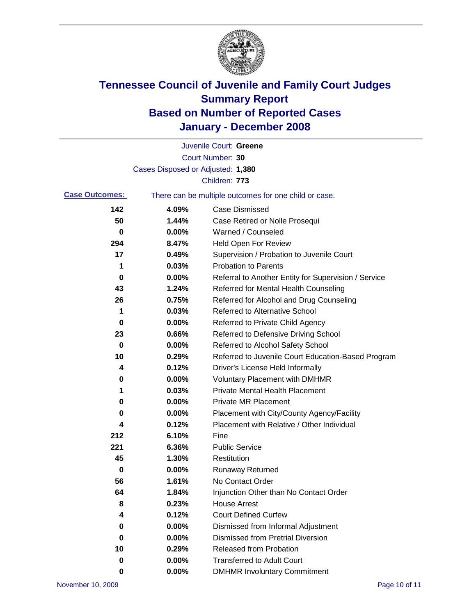

|                       |                                   | Juvenile Court: Greene                                |
|-----------------------|-----------------------------------|-------------------------------------------------------|
|                       |                                   | Court Number: 30                                      |
|                       | Cases Disposed or Adjusted: 1,380 |                                                       |
|                       |                                   | Children: 773                                         |
| <b>Case Outcomes:</b> |                                   | There can be multiple outcomes for one child or case. |
| 142                   | 4.09%                             | <b>Case Dismissed</b>                                 |
| 50                    | 1.44%                             | Case Retired or Nolle Prosequi                        |
| 0                     | 0.00%                             | Warned / Counseled                                    |
| 294                   | 8.47%                             | <b>Held Open For Review</b>                           |
| 17                    | 0.49%                             | Supervision / Probation to Juvenile Court             |
| 1                     | 0.03%                             | <b>Probation to Parents</b>                           |
| 0                     | 0.00%                             | Referral to Another Entity for Supervision / Service  |
| 43                    | 1.24%                             | Referred for Mental Health Counseling                 |
| 26                    | 0.75%                             | Referred for Alcohol and Drug Counseling              |
| 1                     | 0.03%                             | <b>Referred to Alternative School</b>                 |
| 0                     | 0.00%                             | Referred to Private Child Agency                      |
| 23                    | 0.66%                             | Referred to Defensive Driving School                  |
| 0                     | 0.00%                             | Referred to Alcohol Safety School                     |
| 10                    | 0.29%                             | Referred to Juvenile Court Education-Based Program    |
| 4                     | 0.12%                             | Driver's License Held Informally                      |
| 0                     | 0.00%                             | <b>Voluntary Placement with DMHMR</b>                 |
| 1                     | 0.03%                             | <b>Private Mental Health Placement</b>                |
| 0                     | 0.00%                             | <b>Private MR Placement</b>                           |
| 0                     | 0.00%                             | Placement with City/County Agency/Facility            |
| 4                     | 0.12%                             | Placement with Relative / Other Individual            |
| 212                   | 6.10%                             | Fine                                                  |
| 221                   | 6.36%                             | <b>Public Service</b>                                 |
| 45                    | 1.30%                             | Restitution                                           |
| 0                     | 0.00%                             | <b>Runaway Returned</b>                               |
| 56                    | 1.61%                             | No Contact Order                                      |
| 64                    | 1.84%                             | Injunction Other than No Contact Order                |
| 8                     | 0.23%                             | <b>House Arrest</b>                                   |
| 4                     | 0.12%                             | <b>Court Defined Curfew</b>                           |
| 0                     | 0.00%                             | Dismissed from Informal Adjustment                    |
| 0                     | 0.00%                             | <b>Dismissed from Pretrial Diversion</b>              |
| 10                    | 0.29%                             | Released from Probation                               |
| 0                     | 0.00%                             | <b>Transferred to Adult Court</b>                     |
| 0                     | $0.00\%$                          | <b>DMHMR Involuntary Commitment</b>                   |